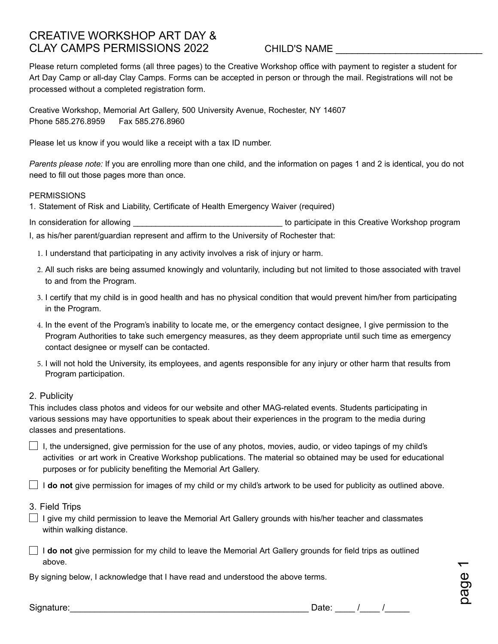# CREATIVE WORKSHOP ART DAY & CLAY CAMPS PERMISSIONS 2022

## CHILD'S NAME \_\_\_\_\_\_\_\_\_\_\_\_\_\_\_\_\_\_\_\_\_\_\_\_\_\_\_

Please return completed forms (all three pages) to the Creative Workshop office with payment to register a student for Art Day Camp or all-day Clay Camps. Forms can be accepted in person or through the mail. Registrations will not be processed without a completed registration form.

Creative Workshop, Memorial Art Gallery, 500 University Avenue, Rochester, NY 14607 Phone 585.276.8959 Fax 585.276.8960

Please let us know if you would like a receipt with a tax ID number.

*Parents please note:* If you are enrolling more than one child, and the information on pages 1 and 2 is identical, you do not need to fill out those pages more than once.

#### **PERMISSIONS**

1. Statement of Risk and Liability, Certificate of Health Emergency Waiver (required)

In consideration for allowing example of the state of the state of participate in this Creative Workshop program

I, as his/her parent/guardian represent and affirm to the University of Rochester that:

- 1. I understand that participating in any activity involves a risk of injury or harm.
- 2. All such risks are being assumed knowingly and voluntarily, including but not limited to those associated with travel to and from the Program.
- 3. I certify that my child is in good health and has no physical condition that would prevent him/her from participating in the Program.
- 4. In the event of the Program's inability to locate me, or the emergency contact designee, I give permission to the Program Authorities to take such emergency measures, as they deem appropriate until such time as emergency contact designee or myself can be contacted.
- 5. I will not hold the University, its employees, and agents responsible for any injury or other harm that results from Program participation.

### 2. Publicity

This includes class photos and videos for our website and other MAG-related events. Students participating in various sessions may have opportunities to speak about their experiences in the program to the media during classes and presentations.

 $\Box$  I, the undersigned, give permission for the use of any photos, movies, audio, or video tapings of my child's activities or art work in Creative Workshop publications. The material so obtained may be used for educational purposes or for publicity benefiting the Memorial Art Gallery.

I **do not** give permission for images of my child or my child's artwork to be used for publicity as outlined above.

- 3. Field Trips
- $\Box$  I give my child permission to leave the Memorial Art Gallery grounds with his/her teacher and classmates within walking distance.
- I **do not** give permission for my child to leave the Memorial Art Gallery grounds for field trips as outlined above.

By signing below, I acknowledge that I have read and understood the above terms.

Signature:\_\_\_\_\_\_\_\_\_\_\_\_\_\_\_\_\_\_\_\_\_\_\_\_\_\_\_\_\_\_\_\_\_\_\_\_\_\_\_\_\_\_\_\_\_\_\_\_ Date: \_\_\_\_ /\_\_\_\_ /\_\_\_\_\_